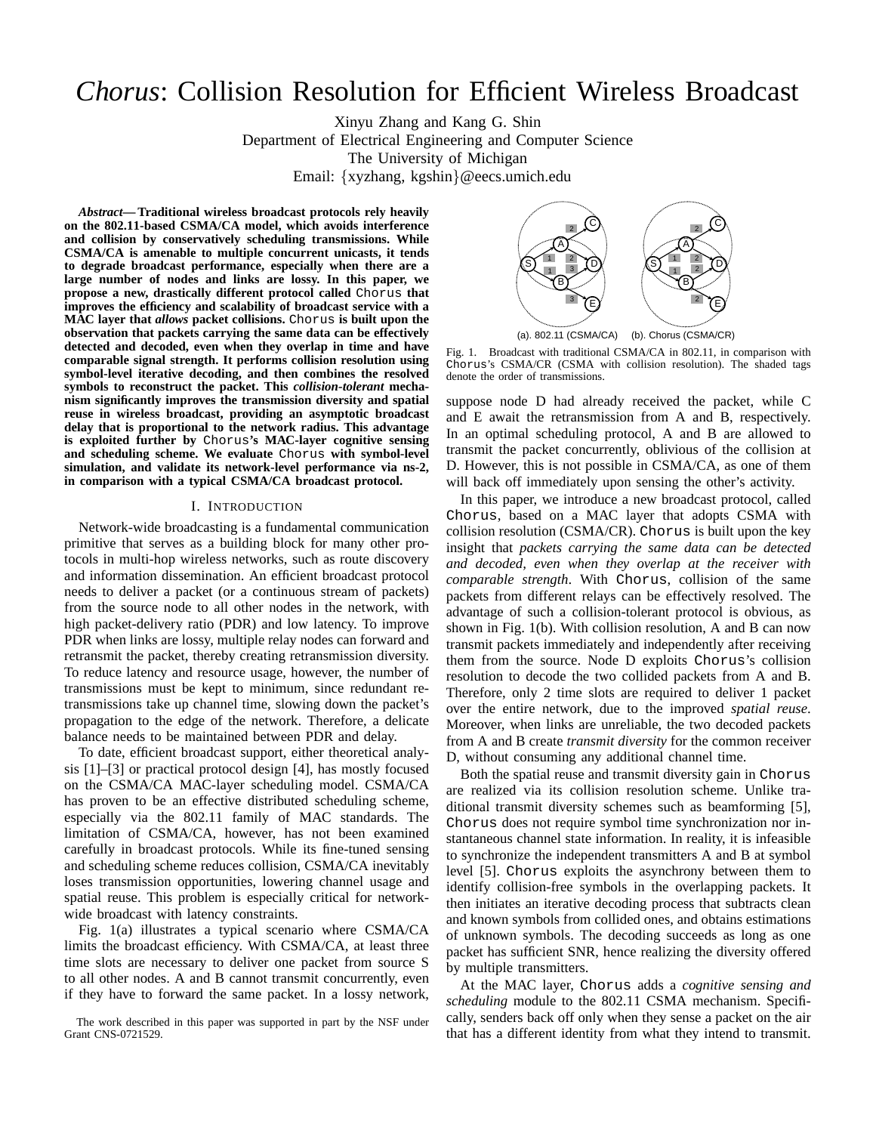# *Chorus*: Collision Resolution for Efficient Wireless Broadcast

Xinyu Zhang and Kang G. Shin Department of Electrical Engineering and Computer Science The University of Michigan Email: {xyzhang, kgshin}@eecs.umich.edu

*Abstract***— Traditional wireless broadcast protocols rely heavily on the 802.11-based CSMA/CA model, which avoids interference and collision by conservatively scheduling transmissions. While CSMA/CA is amenable to multiple concurrent unicasts, it tends to degrade broadcast performance, especially when there are a large number of nodes and links are lossy. In this paper, we propose a new, drastically different protocol called** Chorus **that improves the efficiency and scalability of broadcast service with a MAC layer that** *allows* **packet collisions.** Chorus **is built upon the observation that packets carrying the same data can be effectively detected and decoded, even when they overlap in time and have comparable signal strength. It performs collision resolution using symbol-level iterative decoding, and then combines the resolved symbols to reconstruct the packet. This** *collision-tolerant* **mechanism significantly improves the transmission diversity and spatial reuse in wireless broadcast, providing an asymptotic broadcast delay that is proportional to the network radius. This advantage is exploited further by** Chorus**'s MAC-layer cognitive sensing and scheduling scheme. We evaluate** Chorus **with symbol-level simulation, and validate its network-level performance via ns-2, in comparison with a typical CSMA/CA broadcast protocol.**

#### I. INTRODUCTION

Network-wide broadcasting is a fundamental communication primitive that serves as a building block for many other protocols in multi-hop wireless networks, such as route discovery and information dissemination. An efficient broadcast protocol needs to deliver a packet (or a continuous stream of packets) from the source node to all other nodes in the network, with high packet-delivery ratio (PDR) and low latency. To improve PDR when links are lossy, multiple relay nodes can forward and retransmit the packet, thereby creating retransmission diversity. To reduce latency and resource usage, however, the number of transmissions must be kept to minimum, since redundant retransmissions take up channel time, slowing down the packet's propagation to the edge of the network. Therefore, a delicate balance needs to be maintained between PDR and delay.

To date, efficient broadcast support, either theoretical analysis [1]–[3] or practical protocol design [4], has mostly focused on the CSMA/CA MAC-layer scheduling model. CSMA/CA has proven to be an effective distributed scheduling scheme, especially via the 802.11 family of MAC standards. The limitation of CSMA/CA, however, has not been examined carefully in broadcast protocols. While its fine-tuned sensing and scheduling scheme reduces collision, CSMA/CA inevitably loses transmission opportunities, lowering channel usage and spatial reuse. This problem is especially critical for networkwide broadcast with latency constraints.

Fig. 1(a) illustrates a typical scenario where CSMA/CA limits the broadcast efficiency. With CSMA/CA, at least three time slots are necessary to deliver one packet from source S to all other nodes. A and B cannot transmit concurrently, even if they have to forward the same packet. In a lossy network,



(a). 802.11 (CSMA/CA) (b). Chorus (CSMA/CR)

Fig. 1. Broadcast with traditional CSMA/CA in 802.11, in comparison with Chorus's CSMA/CR (CSMA with collision resolution). The shaded tags denote the order of transmissions.

suppose node D had already received the packet, while C and E await the retransmission from A and B, respectively. In an optimal scheduling protocol, A and B are allowed to transmit the packet concurrently, oblivious of the collision at D. However, this is not possible in CSMA/CA, as one of them will back off immediately upon sensing the other's activity.

In this paper, we introduce a new broadcast protocol, called Chorus, based on a MAC layer that adopts CSMA with collision resolution (CSMA/CR). Chorus is built upon the key insight that *packets carrying the same data can be detected and decoded, even when they overlap at the receiver with comparable strength*. With Chorus, collision of the same packets from different relays can be effectively resolved. The advantage of such a collision-tolerant protocol is obvious, as shown in Fig. 1(b). With collision resolution, A and B can now transmit packets immediately and independently after receiving them from the source. Node D exploits Chorus's collision resolution to decode the two collided packets from A and B. Therefore, only 2 time slots are required to deliver 1 packet over the entire network, due to the improved *spatial reuse*. Moreover, when links are unreliable, the two decoded packets from A and B create *transmit diversity* for the common receiver D, without consuming any additional channel time.

Both the spatial reuse and transmit diversity gain in Chorus are realized via its collision resolution scheme. Unlike traditional transmit diversity schemes such as beamforming [5], Chorus does not require symbol time synchronization nor instantaneous channel state information. In reality, it is infeasible to synchronize the independent transmitters A and B at symbol level [5]. Chorus exploits the asynchrony between them to identify collision-free symbols in the overlapping packets. It then initiates an iterative decoding process that subtracts clean and known symbols from collided ones, and obtains estimations of unknown symbols. The decoding succeeds as long as one packet has sufficient SNR, hence realizing the diversity offered by multiple transmitters.

At the MAC layer, Chorus adds a *cognitive sensing and scheduling* module to the 802.11 CSMA mechanism. Specifically, senders back off only when they sense a packet on the air that has a different identity from what they intend to transmit.

The work described in this paper was supported in part by the NSF under Grant CNS-0721529.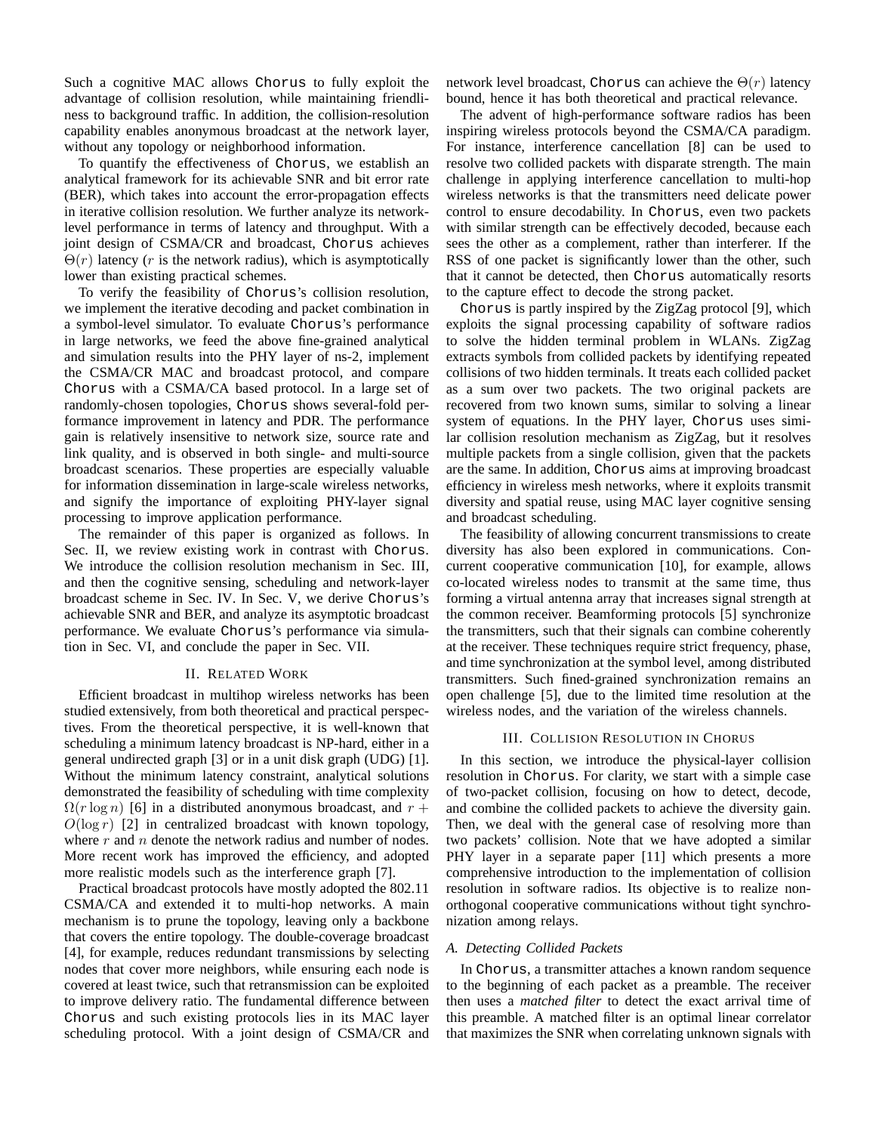Such a cognitive MAC allows Chorus to fully exploit the advantage of collision resolution, while maintaining friendliness to background traffic. In addition, the collision-resolution capability enables anonymous broadcast at the network layer, without any topology or neighborhood information.

To quantify the effectiveness of Chorus, we establish an analytical framework for its achievable SNR and bit error rate (BER), which takes into account the error-propagation effects in iterative collision resolution. We further analyze its networklevel performance in terms of latency and throughput. With a joint design of CSMA/CR and broadcast, Chorus achieves  $\Theta(r)$  latency (r is the network radius), which is asymptotically lower than existing practical schemes.

To verify the feasibility of Chorus's collision resolution, we implement the iterative decoding and packet combination in a symbol-level simulator. To evaluate Chorus's performance in large networks, we feed the above fine-grained analytical and simulation results into the PHY layer of ns-2, implement the CSMA/CR MAC and broadcast protocol, and compare Chorus with a CSMA/CA based protocol. In a large set of randomly-chosen topologies, Chorus shows several-fold performance improvement in latency and PDR. The performance gain is relatively insensitive to network size, source rate and link quality, and is observed in both single- and multi-source broadcast scenarios. These properties are especially valuable for information dissemination in large-scale wireless networks, and signify the importance of exploiting PHY-layer signal processing to improve application performance.

The remainder of this paper is organized as follows. In Sec. II, we review existing work in contrast with Chorus. We introduce the collision resolution mechanism in Sec. III, and then the cognitive sensing, scheduling and network-layer broadcast scheme in Sec. IV. In Sec. V, we derive Chorus's achievable SNR and BER, and analyze its asymptotic broadcast performance. We evaluate Chorus's performance via simulation in Sec. VI, and conclude the paper in Sec. VII.

#### II. RELATED WORK

Efficient broadcast in multihop wireless networks has been studied extensively, from both theoretical and practical perspectives. From the theoretical perspective, it is well-known that scheduling a minimum latency broadcast is NP-hard, either in a general undirected graph [3] or in a unit disk graph (UDG) [1]. Without the minimum latency constraint, analytical solutions demonstrated the feasibility of scheduling with time complexity  $\Omega(r \log n)$  [6] in a distributed anonymous broadcast, and  $r +$  $O(\log r)$  [2] in centralized broadcast with known topology, where  $r$  and  $n$  denote the network radius and number of nodes. More recent work has improved the efficiency, and adopted more realistic models such as the interference graph [7].

Practical broadcast protocols have mostly adopted the 802.11 CSMA/CA and extended it to multi-hop networks. A main mechanism is to prune the topology, leaving only a backbone that covers the entire topology. The double-coverage broadcast [4], for example, reduces redundant transmissions by selecting nodes that cover more neighbors, while ensuring each node is covered at least twice, such that retransmission can be exploited to improve delivery ratio. The fundamental difference between Chorus and such existing protocols lies in its MAC layer scheduling protocol. With a joint design of CSMA/CR and

network level broadcast, Chorus can achieve the  $\Theta(r)$  latency bound, hence it has both theoretical and practical relevance.

The advent of high-performance software radios has been inspiring wireless protocols beyond the CSMA/CA paradigm. For instance, interference cancellation [8] can be used to resolve two collided packets with disparate strength. The main challenge in applying interference cancellation to multi-hop wireless networks is that the transmitters need delicate power control to ensure decodability. In Chorus, even two packets with similar strength can be effectively decoded, because each sees the other as a complement, rather than interferer. If the RSS of one packet is significantly lower than the other, such that it cannot be detected, then Chorus automatically resorts to the capture effect to decode the strong packet.

Chorus is partly inspired by the ZigZag protocol [9], which exploits the signal processing capability of software radios to solve the hidden terminal problem in WLANs. ZigZag extracts symbols from collided packets by identifying repeated collisions of two hidden terminals. It treats each collided packet as a sum over two packets. The two original packets are recovered from two known sums, similar to solving a linear system of equations. In the PHY layer, Chorus uses similar collision resolution mechanism as ZigZag, but it resolves multiple packets from a single collision, given that the packets are the same. In addition, Chorus aims at improving broadcast efficiency in wireless mesh networks, where it exploits transmit diversity and spatial reuse, using MAC layer cognitive sensing and broadcast scheduling.

The feasibility of allowing concurrent transmissions to create diversity has also been explored in communications. Concurrent cooperative communication [10], for example, allows co-located wireless nodes to transmit at the same time, thus forming a virtual antenna array that increases signal strength at the common receiver. Beamforming protocols [5] synchronize the transmitters, such that their signals can combine coherently at the receiver. These techniques require strict frequency, phase, and time synchronization at the symbol level, among distributed transmitters. Such fined-grained synchronization remains an open challenge [5], due to the limited time resolution at the wireless nodes, and the variation of the wireless channels.

## III. COLLISION RESOLUTION IN CHORUS

In this section, we introduce the physical-layer collision resolution in Chorus. For clarity, we start with a simple case of two-packet collision, focusing on how to detect, decode, and combine the collided packets to achieve the diversity gain. Then, we deal with the general case of resolving more than two packets' collision. Note that we have adopted a similar PHY layer in a separate paper [11] which presents a more comprehensive introduction to the implementation of collision resolution in software radios. Its objective is to realize nonorthogonal cooperative communications without tight synchronization among relays.

#### *A. Detecting Collided Packets*

In Chorus, a transmitter attaches a known random sequence to the beginning of each packet as a preamble. The receiver then uses a *matched filter* to detect the exact arrival time of this preamble. A matched filter is an optimal linear correlator that maximizes the SNR when correlating unknown signals with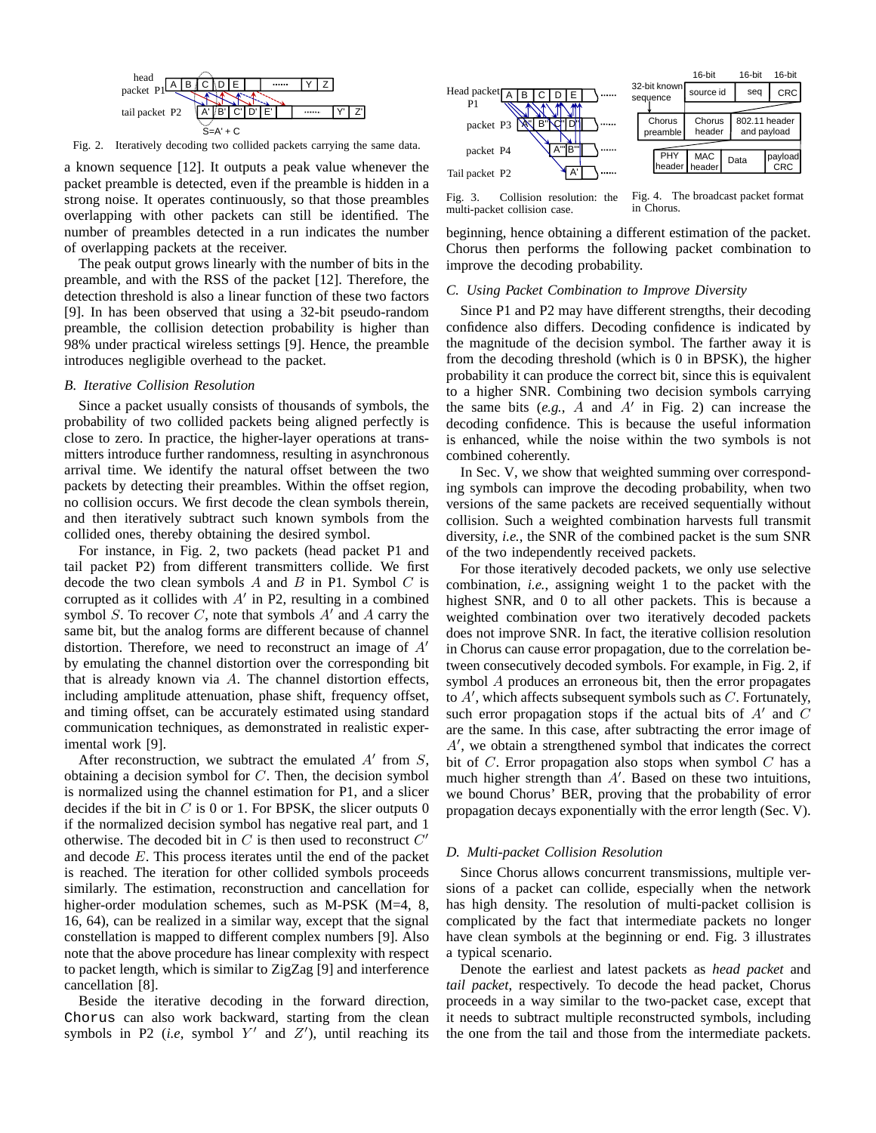

Fig. 2. Iteratively decoding two collided packets carrying the same data.

a known sequence [12]. It outputs a peak value whenever the packet preamble is detected, even if the preamble is hidden in a strong noise. It operates continuously, so that those preambles overlapping with other packets can still be identified. The number of preambles detected in a run indicates the number of overlapping packets at the receiver.

The peak output grows linearly with the number of bits in the preamble, and with the RSS of the packet [12]. Therefore, the detection threshold is also a linear function of these two factors [9]. In has been observed that using a 32-bit pseudo-random preamble, the collision detection probability is higher than 98% under practical wireless settings [9]. Hence, the preamble introduces negligible overhead to the packet.

## *B. Iterative Collision Resolution*

Since a packet usually consists of thousands of symbols, the probability of two collided packets being aligned perfectly is close to zero. In practice, the higher-layer operations at transmitters introduce further randomness, resulting in asynchronous arrival time. We identify the natural offset between the two packets by detecting their preambles. Within the offset region, no collision occurs. We first decode the clean symbols therein, and then iteratively subtract such known symbols from the collided ones, thereby obtaining the desired symbol.

For instance, in Fig. 2, two packets (head packet P1 and tail packet P2) from different transmitters collide. We first decode the two clean symbols A and B in P1. Symbol C is corrupted as it collides with  $A'$  in P2, resulting in a combined symbol S. To recover C, note that symbols  $A'$  and A carry the same bit, but the analog forms are different because of channel distortion. Therefore, we need to reconstruct an image of A′ by emulating the channel distortion over the corresponding bit that is already known via  $A$ . The channel distortion effects, including amplitude attenuation, phase shift, frequency offset, and timing offset, can be accurately estimated using standard communication techniques, as demonstrated in realistic experimental work [9].

After reconstruction, we subtract the emulated  $A'$  from  $S$ , obtaining a decision symbol for  $C$ . Then, the decision symbol is normalized using the channel estimation for P1, and a slicer decides if the bit in  $C$  is 0 or 1. For BPSK, the slicer outputs 0 if the normalized decision symbol has negative real part, and 1 otherwise. The decoded bit in  $C$  is then used to reconstruct  $C'$ and decode E. This process iterates until the end of the packet is reached. The iteration for other collided symbols proceeds similarly. The estimation, reconstruction and cancellation for higher-order modulation schemes, such as M-PSK (M=4, 8, 16, 64), can be realized in a similar way, except that the signal constellation is mapped to different complex numbers [9]. Also note that the above procedure has linear complexity with respect to packet length, which is similar to ZigZag [9] and interference cancellation [8].

Beside the iterative decoding in the forward direction, Chorus can also work backward, starting from the clean symbols in P2  $(i.e., symbol Y' and Z')$ , until reaching its



Fig. 3. Collision resolution: the multi-packet collision case. Fig. 4. The broadcast packet format in Chorus.

beginning, hence obtaining a different estimation of the packet. Chorus then performs the following packet combination to improve the decoding probability.

# *C. Using Packet Combination to Improve Diversity*

Since P1 and P2 may have different strengths, their decoding confidence also differs. Decoding confidence is indicated by the magnitude of the decision symbol. The farther away it is from the decoding threshold (which is 0 in BPSK), the higher probability it can produce the correct bit, since this is equivalent to a higher SNR. Combining two decision symbols carrying the same bits  $(e.g., A \text{ and } A' \text{ in Fig. 2})$  can increase the decoding confidence. This is because the useful information is enhanced, while the noise within the two symbols is not combined coherently.

In Sec. V, we show that weighted summing over corresponding symbols can improve the decoding probability, when two versions of the same packets are received sequentially without collision. Such a weighted combination harvests full transmit diversity, *i.e.*, the SNR of the combined packet is the sum SNR of the two independently received packets.

For those iteratively decoded packets, we only use selective combination, *i.e.*, assigning weight 1 to the packet with the highest SNR, and 0 to all other packets. This is because a weighted combination over two iteratively decoded packets does not improve SNR. In fact, the iterative collision resolution in Chorus can cause error propagation, due to the correlation between consecutively decoded symbols. For example, in Fig. 2, if symbol A produces an erroneous bit, then the error propagates to  $A'$ , which affects subsequent symbols such as  $C$ . Fortunately, such error propagation stops if the actual bits of  $A'$  and  $C$ are the same. In this case, after subtracting the error image of A′ , we obtain a strengthened symbol that indicates the correct bit of  $C$ . Error propagation also stops when symbol  $C$  has a much higher strength than  $A'$ . Based on these two intuitions, we bound Chorus' BER, proving that the probability of error propagation decays exponentially with the error length (Sec. V).

#### *D. Multi-packet Collision Resolution*

Since Chorus allows concurrent transmissions, multiple versions of a packet can collide, especially when the network has high density. The resolution of multi-packet collision is complicated by the fact that intermediate packets no longer have clean symbols at the beginning or end. Fig. 3 illustrates a typical scenario.

Denote the earliest and latest packets as *head packet* and *tail packet*, respectively. To decode the head packet, Chorus proceeds in a way similar to the two-packet case, except that it needs to subtract multiple reconstructed symbols, including the one from the tail and those from the intermediate packets.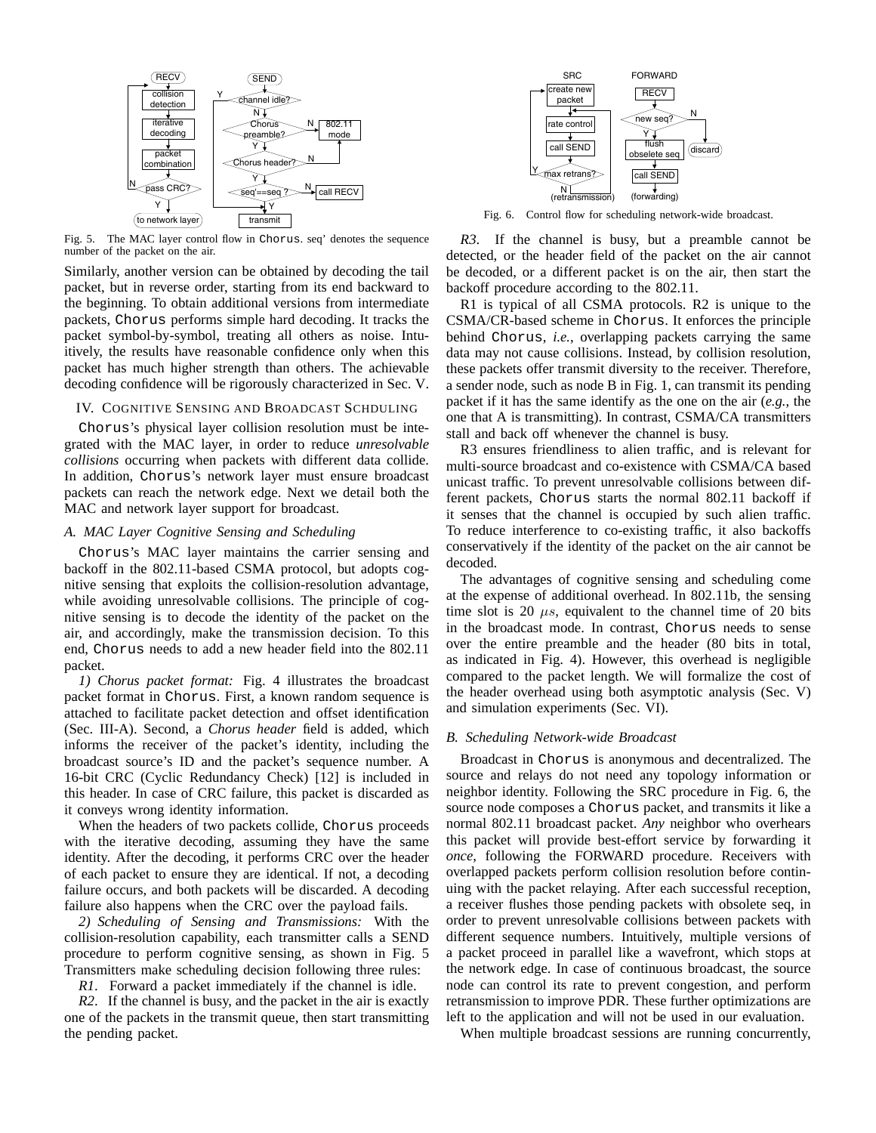

Fig. 5. The MAC layer control flow in Chorus. seq' denotes the sequence number of the packet on the air.

Similarly, another version can be obtained by decoding the tail packet, but in reverse order, starting from its end backward to the beginning. To obtain additional versions from intermediate packets, Chorus performs simple hard decoding. It tracks the packet symbol-by-symbol, treating all others as noise. Intuitively, the results have reasonable confidence only when this packet has much higher strength than others. The achievable decoding confidence will be rigorously characterized in Sec. V.

## IV. COGNITIVE SENSING AND BROADCAST SCHDULING

Chorus's physical layer collision resolution must be integrated with the MAC layer, in order to reduce *unresolvable collisions* occurring when packets with different data collide. In addition, Chorus's network layer must ensure broadcast packets can reach the network edge. Next we detail both the MAC and network layer support for broadcast.

#### *A. MAC Layer Cognitive Sensing and Scheduling*

Chorus's MAC layer maintains the carrier sensing and backoff in the 802.11-based CSMA protocol, but adopts cognitive sensing that exploits the collision-resolution advantage, while avoiding unresolvable collisions. The principle of cognitive sensing is to decode the identity of the packet on the air, and accordingly, make the transmission decision. To this end, Chorus needs to add a new header field into the 802.11 packet.

*1) Chorus packet format:* Fig. 4 illustrates the broadcast packet format in Chorus. First, a known random sequence is attached to facilitate packet detection and offset identification (Sec. III-A). Second, a *Chorus header* field is added, which informs the receiver of the packet's identity, including the broadcast source's ID and the packet's sequence number. A 16-bit CRC (Cyclic Redundancy Check) [12] is included in this header. In case of CRC failure, this packet is discarded as it conveys wrong identity information.

When the headers of two packets collide, Chorus proceeds with the iterative decoding, assuming they have the same identity. After the decoding, it performs CRC over the header of each packet to ensure they are identical. If not, a decoding failure occurs, and both packets will be discarded. A decoding failure also happens when the CRC over the payload fails.

*2) Scheduling of Sensing and Transmissions:* With the collision-resolution capability, each transmitter calls a SEND procedure to perform cognitive sensing, as shown in Fig. 5 Transmitters make scheduling decision following three rules:

*R1*. Forward a packet immediately if the channel is idle.

*R2*. If the channel is busy, and the packet in the air is exactly one of the packets in the transmit queue, then start transmitting the pending packet.



Fig. 6. Control flow for scheduling network-wide broadcast.

*R3*. If the channel is busy, but a preamble cannot be detected, or the header field of the packet on the air cannot be decoded, or a different packet is on the air, then start the backoff procedure according to the 802.11.

R1 is typical of all CSMA protocols. R2 is unique to the CSMA/CR-based scheme in Chorus. It enforces the principle behind Chorus, *i.e.*, overlapping packets carrying the same data may not cause collisions. Instead, by collision resolution, these packets offer transmit diversity to the receiver. Therefore, a sender node, such as node B in Fig. 1, can transmit its pending packet if it has the same identify as the one on the air (*e.g.*, the one that A is transmitting). In contrast, CSMA/CA transmitters stall and back off whenever the channel is busy.

R3 ensures friendliness to alien traffic, and is relevant for multi-source broadcast and co-existence with CSMA/CA based unicast traffic. To prevent unresolvable collisions between different packets, Chorus starts the normal 802.11 backoff if it senses that the channel is occupied by such alien traffic. To reduce interference to co-existing traffic, it also backoffs conservatively if the identity of the packet on the air cannot be decoded.

The advantages of cognitive sensing and scheduling come at the expense of additional overhead. In 802.11b, the sensing time slot is 20  $\mu s$ , equivalent to the channel time of 20 bits in the broadcast mode. In contrast, Chorus needs to sense over the entire preamble and the header (80 bits in total, as indicated in Fig. 4). However, this overhead is negligible compared to the packet length. We will formalize the cost of the header overhead using both asymptotic analysis (Sec. V) and simulation experiments (Sec. VI).

# *B. Scheduling Network-wide Broadcast*

Broadcast in Chorus is anonymous and decentralized. The source and relays do not need any topology information or neighbor identity. Following the SRC procedure in Fig. 6, the source node composes a Chorus packet, and transmits it like a normal 802.11 broadcast packet. *Any* neighbor who overhears this packet will provide best-effort service by forwarding it *once*, following the FORWARD procedure. Receivers with overlapped packets perform collision resolution before continuing with the packet relaying. After each successful reception, a receiver flushes those pending packets with obsolete seq, in order to prevent unresolvable collisions between packets with different sequence numbers. Intuitively, multiple versions of a packet proceed in parallel like a wavefront, which stops at the network edge. In case of continuous broadcast, the source node can control its rate to prevent congestion, and perform retransmission to improve PDR. These further optimizations are left to the application and will not be used in our evaluation.

When multiple broadcast sessions are running concurrently,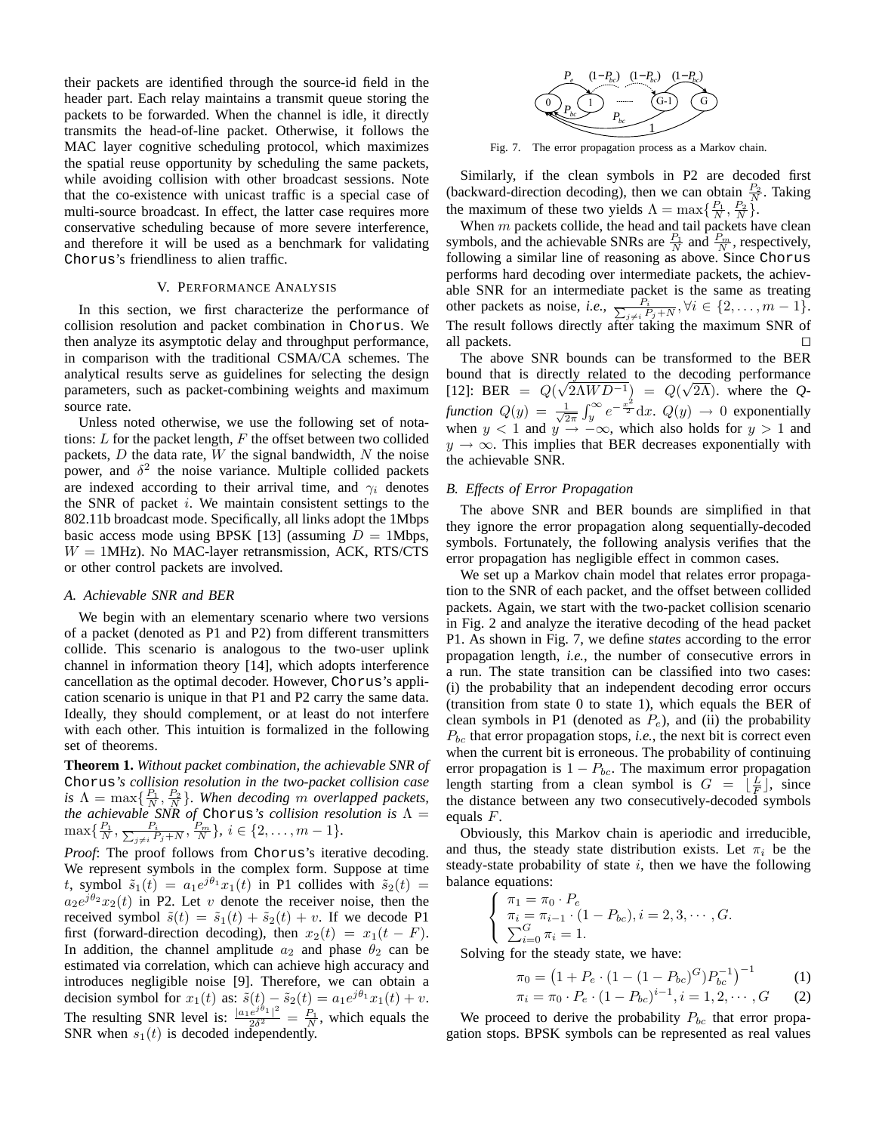their packets are identified through the source-id field in the header part. Each relay maintains a transmit queue storing the packets to be forwarded. When the channel is idle, it directly transmits the head-of-line packet. Otherwise, it follows the MAC layer cognitive scheduling protocol, which maximizes the spatial reuse opportunity by scheduling the same packets, while avoiding collision with other broadcast sessions. Note that the co-existence with unicast traffic is a special case of multi-source broadcast. In effect, the latter case requires more conservative scheduling because of more severe interference, and therefore it will be used as a benchmark for validating Chorus's friendliness to alien traffic.

## V. PERFORMANCE ANALYSIS

In this section, we first characterize the performance of collision resolution and packet combination in Chorus. We then analyze its asymptotic delay and throughput performance, in comparison with the traditional CSMA/CA schemes. The analytical results serve as guidelines for selecting the design parameters, such as packet-combining weights and maximum source rate.

Unless noted otherwise, we use the following set of notations:  $L$  for the packet length,  $F$  the offset between two collided packets,  $D$  the data rate,  $W$  the signal bandwidth,  $N$  the noise power, and  $\delta^2$  the noise variance. Multiple collided packets are indexed according to their arrival time, and  $\gamma_i$  denotes the SNR of packet  $i$ . We maintain consistent settings to the 802.11b broadcast mode. Specifically, all links adopt the 1Mbps basic access mode using BPSK [13] (assuming  $D = 1$ Mbps,  $W = 1$ MHz). No MAC-layer retransmission, ACK, RTS/CTS or other control packets are involved.

#### *A. Achievable SNR and BER*

We begin with an elementary scenario where two versions of a packet (denoted as P1 and P2) from different transmitters collide. This scenario is analogous to the two-user uplink channel in information theory [14], which adopts interference cancellation as the optimal decoder. However, Chorus's application scenario is unique in that P1 and P2 carry the same data. Ideally, they should complement, or at least do not interfere with each other. This intuition is formalized in the following set of theorems.

**Theorem 1.** *Without packet combination, the achievable SNR of* Chorus*'s collision resolution in the two-packet collision case is*  $\Lambda = \max\{\frac{P_1}{N}, \frac{P_2}{N}\}\$ . When decoding m *overlapped packets,*  $X = \max_{i} \{ N, N \}$ . When decoung *in overlapped packets*, the achievable SNR of Chorus's collision resolution is  $\Lambda =$  $\max\{\frac{P_1}{N}, \frac{P_i}{\sum_{j\neq i} P_j + N}, \frac{P_m}{N}\}, i \in \{2, \ldots, m-1\}.$ 

*Proof*: The proof follows from Chorus's iterative decoding. We represent symbols in the complex form. Suppose at time t, symbol  $\tilde{s}_1(t) = a_1 e^{j\theta_1} x_1(t)$  in P1 collides with  $\tilde{s}_2(t) =$  $a_2e^{j\theta_2}x_2(t)$  in P2. Let v denote the receiver noise, then the received symbol  $\tilde{s}(t) = \tilde{s}_1(t) + \tilde{s}_2(t) + v$ . If we decode P1 first (forward-direction decoding), then  $x_2(t) = x_1(t - F)$ . In addition, the channel amplitude  $a_2$  and phase  $\theta_2$  can be estimated via correlation, which can achieve high accuracy and introduces negligible noise [9]. Therefore, we can obtain a decision symbol for  $x_1(t)$  as:  $\tilde{s}(t) - \tilde{s}_2(t) = a_1 e^{j\theta_1} x_1(t) + v$ . The resulting SNR level is:  $\frac{|a_1 e^{j\theta_1}|^2}{2\delta^2}$  $\frac{e^{j\theta_1}}{2\delta^2} = \frac{P_1}{N}$ , which equals the SNR when  $s_1(t)$  is decoded independently.



Fig. 7. The error propagation process as a Markov chain.

Similarly, if the clean symbols in P2 are decoded first (backward-direction decoding), then we can obtain  $\frac{P_2}{N}$ . Taking the maximum of these two yields  $\Lambda = \max\{\frac{P_1}{N}, \frac{P_2}{N}\}.$ 

When  $m$  packets collide, the head and tail packets have clean symbols, and the achievable SNRs are  $\frac{P_1}{N}$  and  $\frac{P_m}{N}$ , respectively, following a similar line of reasoning as above. Since Chorus performs hard decoding over intermediate packets, the achievable SNR for an intermediate packet is the same as treating other packets as noise, *i.e.*,  $\frac{P_i}{\sum_{j\neq i} P_j + N}, \forall i \in \{2, ..., m-1\}.$ The result follows directly after taking the maximum SNR of all packets.  $□$ 

The above SNR bounds can be transformed to the BER bound that is directly related to the decoding performance [12]: BER =  $Q(\sqrt{2\Lambda WD^{-1}}) = Q(\sqrt{2\Lambda})$ . where the *Qfunction*  $Q(y) = \frac{1}{\sqrt{2}}$  $\frac{1}{2\pi} \int_{y}^{\infty} e^{-\frac{x^2}{2}} dx$ .  $Q(y) \to 0$  exponentially when  $y < 1$  and  $y \rightarrow -\infty$ , which also holds for  $y > 1$  and  $y \to \infty$ . This implies that BER decreases exponentially with the achievable SNR.

## *B. Effects of Error Propagation*

The above SNR and BER bounds are simplified in that they ignore the error propagation along sequentially-decoded symbols. Fortunately, the following analysis verifies that the error propagation has negligible effect in common cases.

We set up a Markov chain model that relates error propagation to the SNR of each packet, and the offset between collided packets. Again, we start with the two-packet collision scenario in Fig. 2 and analyze the iterative decoding of the head packet P1. As shown in Fig. 7, we define *states* according to the error propagation length, *i.e.*, the number of consecutive errors in a run. The state transition can be classified into two cases: (i) the probability that an independent decoding error occurs (transition from state 0 to state 1), which equals the BER of clean symbols in P1 (denoted as  $P_e$ ), and (ii) the probability  $P_{bc}$  that error propagation stops, *i.e.*, the next bit is correct even when the current bit is erroneous. The probability of continuing error propagation is  $1 - P_{bc}$ . The maximum error propagation length starting from a clean symbol is  $G = \begin{bmatrix} \frac{L}{F} \end{bmatrix}$ , since the distance between any two consecutively-decoded symbols equals  $F$ .

Obviously, this Markov chain is aperiodic and irreducible, and thus, the steady state distribution exists. Let  $\pi_i$  be the steady-state probability of state  $i$ , then we have the following balance equations:

$$
\begin{cases} \pi_1 = \pi_0 \cdot P_e \\ \pi_i = \pi_{i-1} \cdot (1 - P_{bc}), i = 2, 3, \cdots, G. \\ \sum_{i=0}^G \pi_i = 1. \end{cases}
$$

Solving for the steady state, we have:

$$
\pi_0 = \left(1 + P_e \cdot (1 - (1 - P_{bc})^G) P_{bc}^{-1}\right)^{-1} \tag{1}
$$
\n
$$
\pi_i = \pi_0 \cdot P_e \cdot (1 - P_{bc})^{i-1}, i = 1, 2, \dots, G \tag{2}
$$

$$
\pi_i = \pi_0 \cdot P_e \cdot (1 - P_{bc})^{i-1}, i = 1, 2, \cdots, G \qquad (2)
$$

We proceed to derive the probability  $P_{bc}$  that error propagation stops. BPSK symbols can be represented as real values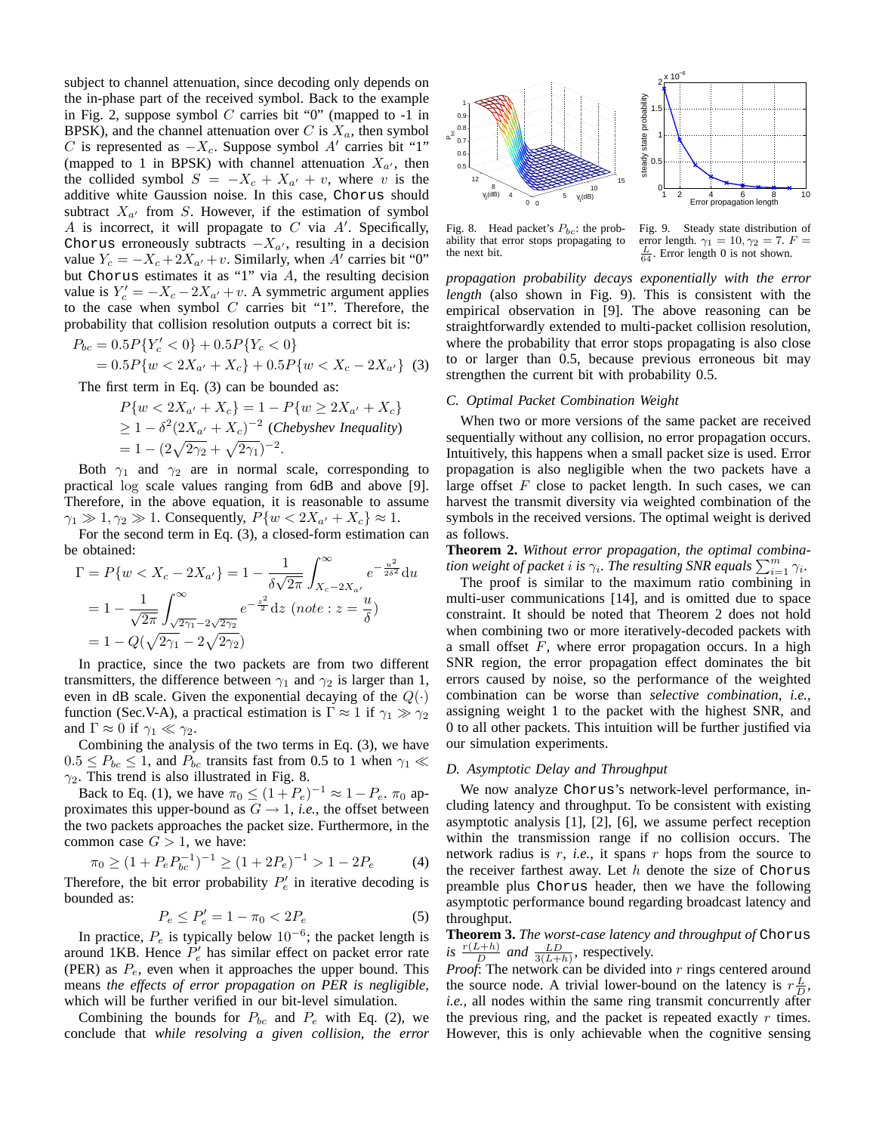subject to channel attenuation, since decoding only depends on the in-phase part of the received symbol. Back to the example in Fig. 2, suppose symbol  $C$  carries bit "0" (mapped to  $-1$  in BPSK), and the channel attenuation over C is  $X_a$ , then symbol C is represented as  $-X_c$ . Suppose symbol A' carries bit "1" (mapped to 1 in BPSK) with channel attenuation  $X_{a'}$ , then the collided symbol  $S = -X_c + X_{a'} + v$ , where v is the additive white Gaussion noise. In this case, Chorus should subtract  $X_{a'}$  from S. However, if the estimation of symbol A is incorrect, it will propagate to C via  $A'$ . Specifically, Chorus erroneously subtracts  $-X_{a'}$ , resulting in a decision value  $Y_c = -X_c + 2X_{a'} + v$ . Similarly, when A' carries bit "0" but Chorus estimates it as "1" via  $A$ , the resulting decision value is  $Y_c' = -X_c - 2X_a' + v$ . A symmetric argument applies to the case when symbol  $C$  carries bit "1". Therefore, the probability that collision resolution outputs a correct bit is:

$$
P_{bc} = 0.5P\{Y_c' < 0\} + 0.5P\{Y_c < 0\}
$$
\n
$$
= 0.5P\{w < 2X_{a'} + X_c\} + 0.5P\{w < X_c - 2X_{a'}\} \tag{3}
$$

The first term in Eq. (3) can be bounded as:

$$
P\{w < 2X_{a'} + X_c\} = 1 - P\{w \ge 2X_{a'} + X_c\}
$$
\n
$$
\ge 1 - \delta^2 (2X_{a'} + X_c)^{-2} \text{ (Chebyshev Inequality)}
$$
\n
$$
= 1 - (2\sqrt{2\gamma_2} + \sqrt{2\gamma_1})^{-2}.
$$

Both  $\gamma_1$  and  $\gamma_2$  are in normal scale, corresponding to practical log scale values ranging from 6dB and above [9]. Therefore, in the above equation, it is reasonable to assume  $\gamma_1 \gg 1, \gamma_2 \gg 1$ . Consequently,  $P\{w < 2X_{a'} + X_c\} \approx 1$ .

For the second term in Eq. (3), a closed-form estimation can be obtained:

$$
\Gamma = P\{w < X_c - 2X_{a'}\} = 1 - \frac{1}{\delta\sqrt{2\pi}} \int_{X_c - 2X_{a'}}^{\infty} e^{-\frac{u^2}{2\delta^2}} du
$$

$$
= 1 - \frac{1}{\sqrt{2\pi}} \int_{\sqrt{2\gamma_1} - 2\sqrt{2\gamma_2}}^{\infty} e^{-\frac{z^2}{2}} dz \ (note: z = \frac{u}{\delta})
$$

$$
= 1 - Q(\sqrt{2\gamma_1} - 2\sqrt{2\gamma_2})
$$

In practice, since the two packets are from two different transmitters, the difference between  $\gamma_1$  and  $\gamma_2$  is larger than 1, even in dB scale. Given the exponential decaying of the  $Q(\cdot)$ function (Sec.V-A), a practical estimation is  $\Gamma \approx 1$  if  $\gamma_1 \gg \gamma_2$ and  $\Gamma \approx 0$  if  $\gamma_1 \ll \gamma_2$ .

Combining the analysis of the two terms in Eq. (3), we have  $0.5 \leq P_{bc} \leq 1$ , and  $P_{bc}$  transits fast from 0.5 to 1 when  $\gamma_1 \ll 1$  $\gamma_2$ . This trend is also illustrated in Fig. 8.

Back to Eq. (1), we have  $\pi_0 \le (1 + P_e)^{-1} \approx 1 - P_e$ .  $\pi_0$  approximates this upper-bound as  $G \rightarrow 1$ , *i.e.*, the offset between the two packets approaches the packet size. Furthermore, in the common case  $G > 1$ , we have:

$$
\pi_0 \ge (1 + P_e P_{bc}^{-1})^{-1} \ge (1 + 2P_e)^{-1} > 1 - 2P_e \tag{4}
$$

Therefore, the bit error probability  $P'_e$  in iterative decoding is bounded as:

$$
P_e \le P'_e = 1 - \pi_0 < 2P_e \tag{5}
$$

In practice,  $P_e$  is typically below  $10^{-6}$ ; the packet length is around 1KB. Hence  $P'_e$  has similar effect on packet error rate (PER) as  $P_e$ , even when it approaches the upper bound. This means *the effects of error propagation on PER is negligible*, which will be further verified in our bit-level simulation.

Combining the bounds for  $P_{bc}$  and  $P_e$  with Eq. (2), we conclude that *while resolving a given collision, the error*



Fig. 8. Head packet's  $P_{bc}$ : the probability that error stops propagating to the next bit.

Fig. 9. Steady state distribution of error length.  $\gamma_1 = 10, \gamma_2 = 7$ . F  $\frac{L}{64}$ . Error length 0 is not shown.

*propagation probability decays exponentially with the error length* (also shown in Fig. 9). This is consistent with the empirical observation in [9]. The above reasoning can be straightforwardly extended to multi-packet collision resolution, where the probability that error stops propagating is also close to or larger than 0.5, because previous erroneous bit may strengthen the current bit with probability 0.5.

# *C. Optimal Packet Combination Weight*

When two or more versions of the same packet are received sequentially without any collision, no error propagation occurs. Intuitively, this happens when a small packet size is used. Error propagation is also negligible when the two packets have a large offset  $F$  close to packet length. In such cases, we can harvest the transmit diversity via weighted combination of the symbols in the received versions. The optimal weight is derived as follows.

**Theorem 2.** *Without error propagation, the optimal combination weight of packet i is*  $\gamma_i$ *. The resulting SNR equals*  $\sum_{i=1}^m \gamma_i$ *.* 

The proof is similar to the maximum ratio combining in multi-user communications [14], and is omitted due to space constraint. It should be noted that Theorem 2 does not hold when combining two or more iteratively-decoded packets with a small offset  $F$ , where error propagation occurs. In a high SNR region, the error propagation effect dominates the bit errors caused by noise, so the performance of the weighted combination can be worse than *selective combination*, *i.e.*, assigning weight 1 to the packet with the highest SNR, and 0 to all other packets. This intuition will be further justified via our simulation experiments.

## *D. Asymptotic Delay and Throughput*

We now analyze Chorus's network-level performance, including latency and throughput. To be consistent with existing asymptotic analysis [1], [2], [6], we assume perfect reception within the transmission range if no collision occurs. The network radius is  $r$ , *i.e.*, it spans  $r$  hops from the source to the receiver farthest away. Let  $h$  denote the size of Chorus preamble plus Chorus header, then we have the following asymptotic performance bound regarding broadcast latency and throughput.

**Theorem 3.** *The worst-case latency and throughput of* Chorus is  $\frac{r(L+h)}{D}$  and  $\frac{LD}{3(L+h)}$ , respectively.

*Proof*: The network can be divided into r rings centered around the source node. A trivial lower-bound on the latency is  $r\frac{L}{D}$ , *i.e.*, all nodes within the same ring transmit concurrently after the previous ring, and the packet is repeated exactly  $r$  times. However, this is only achievable when the cognitive sensing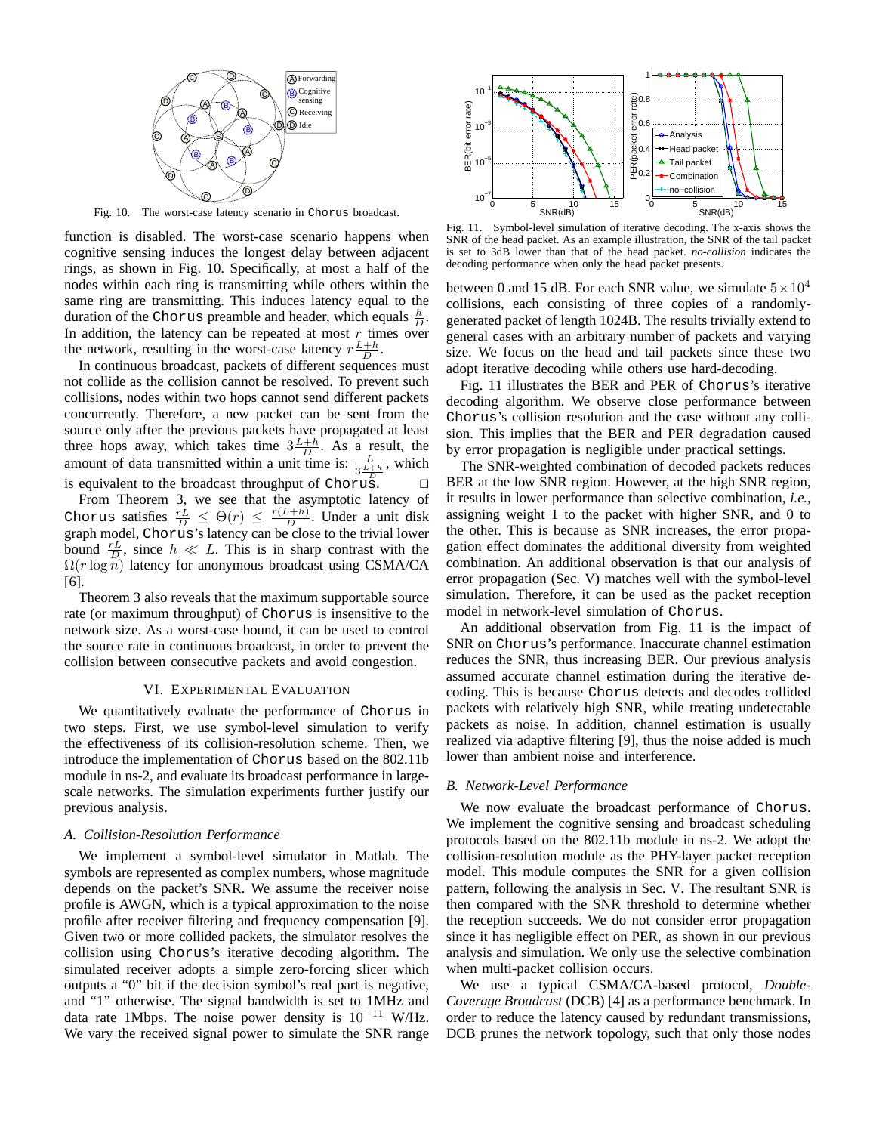

Fig. 10. The worst-case latency scenario in Chorus broadcast.

function is disabled. The worst-case scenario happens when cognitive sensing induces the longest delay between adjacent rings, as shown in Fig. 10. Specifically, at most a half of the nodes within each ring is transmitting while others within the same ring are transmitting. This induces latency equal to the duration of the Chorus preamble and header, which equals  $\frac{h}{D}$ . In addition, the latency can be repeated at most  $r$  times over the network, resulting in the worst-case latency  $r \frac{L+h}{D}$ .

In continuous broadcast, packets of different sequences must not collide as the collision cannot be resolved. To prevent such collisions, nodes within two hops cannot send different packets concurrently. Therefore, a new packet can be sent from the source only after the previous packets have propagated at least three hops away, which takes time  $3\frac{L+h}{D}$ . As a result, the amount of data transmitted within a unit time is:  $\frac{L}{3L+h}$ , which is equivalent to the broadcast throughput of Chorus.  $□$ 

From Theorem 3, we see that the asymptotic latency of Chorus satisfies  $\frac{rL}{D} \leq \Theta(r) \leq \frac{r(L+h)}{D}$  $\frac{D}{D}$ . Under a unit disk graph model, Chorus's latency can be close to the trivial lower bound  $\frac{r}{D}$ , since  $h \ll L$ . This is in sharp contrast with the  $\Omega(r \log n)$  latency for anonymous broadcast using CSMA/CA [6].

Theorem 3 also reveals that the maximum supportable source rate (or maximum throughput) of Chorus is insensitive to the network size. As a worst-case bound, it can be used to control the source rate in continuous broadcast, in order to prevent the collision between consecutive packets and avoid congestion.

#### VI. EXPERIMENTAL EVALUATION

We quantitatively evaluate the performance of Chorus in two steps. First, we use symbol-level simulation to verify the effectiveness of its collision-resolution scheme. Then, we introduce the implementation of Chorus based on the 802.11b module in ns-2, and evaluate its broadcast performance in largescale networks. The simulation experiments further justify our previous analysis.

## *A. Collision-Resolution Performance*

We implement a symbol-level simulator in Matlab. The symbols are represented as complex numbers, whose magnitude depends on the packet's SNR. We assume the receiver noise profile is AWGN, which is a typical approximation to the noise profile after receiver filtering and frequency compensation [9]. Given two or more collided packets, the simulator resolves the collision using Chorus's iterative decoding algorithm. The simulated receiver adopts a simple zero-forcing slicer which outputs a "0" bit if the decision symbol's real part is negative, and "1" otherwise. The signal bandwidth is set to 1MHz and data rate 1Mbps. The noise power density is  $10^{-11}$  W/Hz. We vary the received signal power to simulate the SNR range



Fig. 11. Symbol-level simulation of iterative decoding. The x-axis shows the SNR of the head packet. As an example illustration, the SNR of the tail packet is set to 3dB lower than that of the head packet. *no-collision* indicates the decoding performance when only the head packet presents.

between 0 and 15 dB. For each SNR value, we simulate  $5 \times 10^4$ collisions, each consisting of three copies of a randomlygenerated packet of length 1024B. The results trivially extend to general cases with an arbitrary number of packets and varying size. We focus on the head and tail packets since these two adopt iterative decoding while others use hard-decoding.

Fig. 11 illustrates the BER and PER of Chorus's iterative decoding algorithm. We observe close performance between Chorus's collision resolution and the case without any collision. This implies that the BER and PER degradation caused by error propagation is negligible under practical settings.

The SNR-weighted combination of decoded packets reduces BER at the low SNR region. However, at the high SNR region, it results in lower performance than selective combination, *i.e.*, assigning weight 1 to the packet with higher SNR, and 0 to the other. This is because as SNR increases, the error propagation effect dominates the additional diversity from weighted combination. An additional observation is that our analysis of error propagation (Sec. V) matches well with the symbol-level simulation. Therefore, it can be used as the packet reception model in network-level simulation of Chorus.

An additional observation from Fig. 11 is the impact of SNR on Chorus's performance. Inaccurate channel estimation reduces the SNR, thus increasing BER. Our previous analysis assumed accurate channel estimation during the iterative decoding. This is because Chorus detects and decodes collided packets with relatively high SNR, while treating undetectable packets as noise. In addition, channel estimation is usually realized via adaptive filtering [9], thus the noise added is much lower than ambient noise and interference.

## *B. Network-Level Performance*

We now evaluate the broadcast performance of Chorus. We implement the cognitive sensing and broadcast scheduling protocols based on the 802.11b module in ns-2. We adopt the collision-resolution module as the PHY-layer packet reception model. This module computes the SNR for a given collision pattern, following the analysis in Sec. V. The resultant SNR is then compared with the SNR threshold to determine whether the reception succeeds. We do not consider error propagation since it has negligible effect on PER, as shown in our previous analysis and simulation. We only use the selective combination when multi-packet collision occurs.

We use a typical CSMA/CA-based protocol, *Double-Coverage Broadcast* (DCB) [4] as a performance benchmark. In order to reduce the latency caused by redundant transmissions, DCB prunes the network topology, such that only those nodes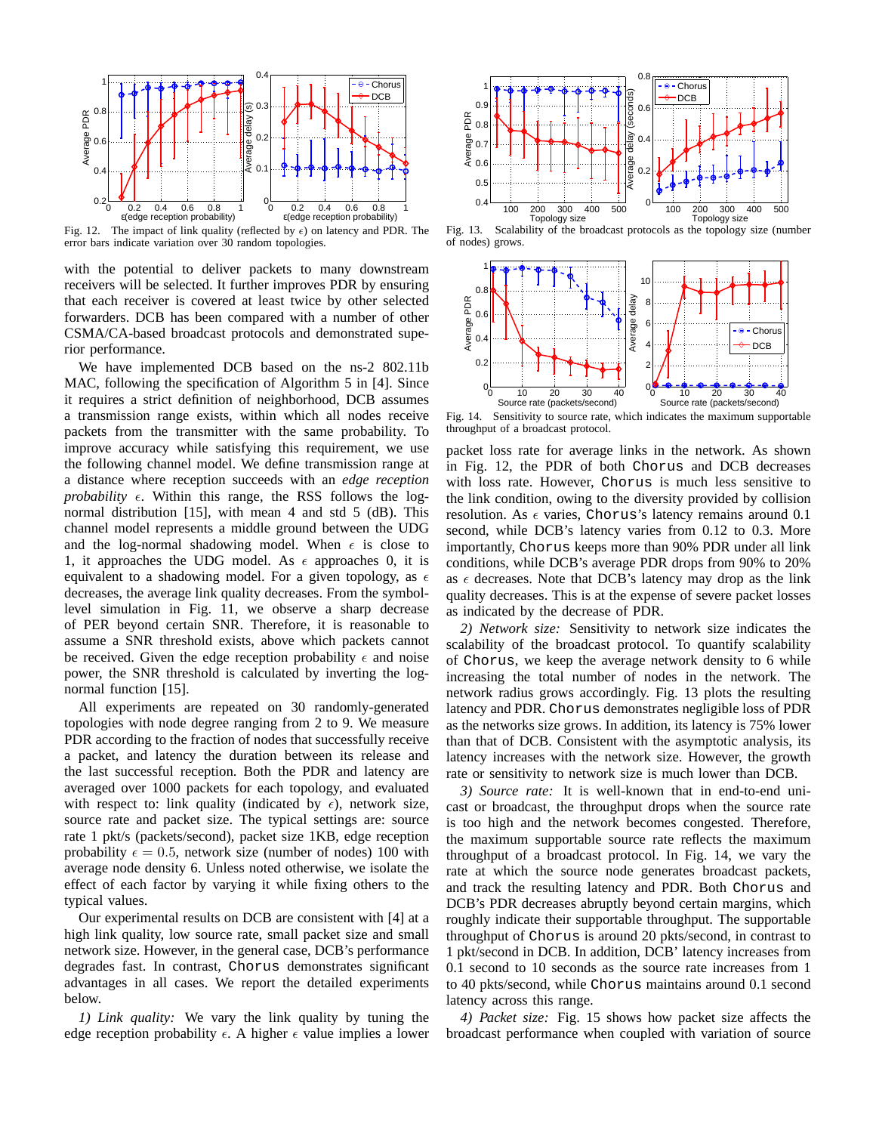

Fig. 12. The impact of link quality (reflected by  $\epsilon$ ) on latency and PDR. The error bars indicate variation over 30 random topologies.

with the potential to deliver packets to many downstream receivers will be selected. It further improves PDR by ensuring that each receiver is covered at least twice by other selected forwarders. DCB has been compared with a number of other CSMA/CA-based broadcast protocols and demonstrated superior performance.

We have implemented DCB based on the ns-2 802.11b MAC, following the specification of Algorithm 5 in [4]. Since it requires a strict definition of neighborhood, DCB assumes a transmission range exists, within which all nodes receive packets from the transmitter with the same probability. To improve accuracy while satisfying this requirement, we use the following channel model. We define transmission range at a distance where reception succeeds with an *edge reception probability*  $\epsilon$ . Within this range, the RSS follows the lognormal distribution [15], with mean 4 and std 5 (dB). This channel model represents a middle ground between the UDG and the log-normal shadowing model. When  $\epsilon$  is close to 1, it approaches the UDG model. As  $\epsilon$  approaches 0, it is equivalent to a shadowing model. For a given topology, as  $\epsilon$ decreases, the average link quality decreases. From the symbollevel simulation in Fig. 11, we observe a sharp decrease of PER beyond certain SNR. Therefore, it is reasonable to assume a SNR threshold exists, above which packets cannot be received. Given the edge reception probability  $\epsilon$  and noise power, the SNR threshold is calculated by inverting the lognormal function [15].

All experiments are repeated on 30 randomly-generated topologies with node degree ranging from 2 to 9. We measure PDR according to the fraction of nodes that successfully receive a packet, and latency the duration between its release and the last successful reception. Both the PDR and latency are averaged over 1000 packets for each topology, and evaluated with respect to: link quality (indicated by  $\epsilon$ ), network size, source rate and packet size. The typical settings are: source rate 1 pkt/s (packets/second), packet size 1KB, edge reception probability  $\epsilon = 0.5$ , network size (number of nodes) 100 with average node density 6. Unless noted otherwise, we isolate the effect of each factor by varying it while fixing others to the typical values.

Our experimental results on DCB are consistent with [4] at a high link quality, low source rate, small packet size and small network size. However, in the general case, DCB's performance degrades fast. In contrast, Chorus demonstrates significant advantages in all cases. We report the detailed experiments below.

*1) Link quality:* We vary the link quality by tuning the edge reception probability  $\epsilon$ . A higher  $\epsilon$  value implies a lower



Fig. 13. Scalability of the broadcast protocols as the topology size (number of nodes) grows.



Fig. 14. Sensitivity to source rate, which indicates the maximum supportable throughput of a broadcast protocol.

packet loss rate for average links in the network. As shown in Fig. 12, the PDR of both Chorus and DCB decreases with loss rate. However, Chorus is much less sensitive to the link condition, owing to the diversity provided by collision resolution. As  $\epsilon$  varies, Chorus's latency remains around 0.1 second, while DCB's latency varies from 0.12 to 0.3. More importantly, Chorus keeps more than 90% PDR under all link conditions, while DCB's average PDR drops from 90% to 20% as  $\epsilon$  decreases. Note that DCB's latency may drop as the link quality decreases. This is at the expense of severe packet losses as indicated by the decrease of PDR.

*2) Network size:* Sensitivity to network size indicates the scalability of the broadcast protocol. To quantify scalability of Chorus, we keep the average network density to 6 while increasing the total number of nodes in the network. The network radius grows accordingly. Fig. 13 plots the resulting latency and PDR. Chorus demonstrates negligible loss of PDR as the networks size grows. In addition, its latency is 75% lower than that of DCB. Consistent with the asymptotic analysis, its latency increases with the network size. However, the growth rate or sensitivity to network size is much lower than DCB.

*3) Source rate:* It is well-known that in end-to-end unicast or broadcast, the throughput drops when the source rate is too high and the network becomes congested. Therefore, the maximum supportable source rate reflects the maximum throughput of a broadcast protocol. In Fig. 14, we vary the rate at which the source node generates broadcast packets, and track the resulting latency and PDR. Both Chorus and DCB's PDR decreases abruptly beyond certain margins, which roughly indicate their supportable throughput. The supportable throughput of Chorus is around 20 pkts/second, in contrast to 1 pkt/second in DCB. In addition, DCB' latency increases from 0.1 second to 10 seconds as the source rate increases from 1 to 40 pkts/second, while Chorus maintains around 0.1 second latency across this range.

*4) Packet size:* Fig. 15 shows how packet size affects the broadcast performance when coupled with variation of source